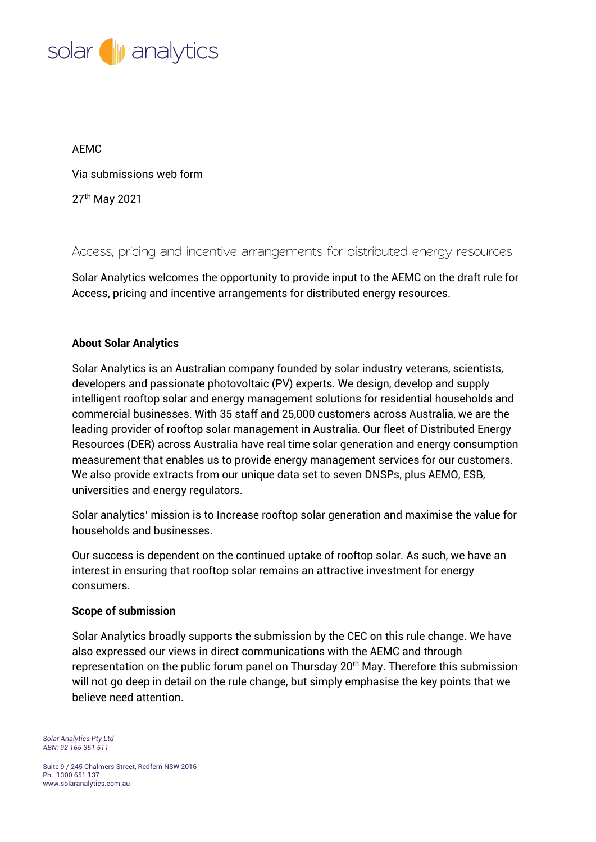

## AEMC

Via submissions web form

27 th May 2021

Access, pricing and incentive arrangements for distributed energy resources

Solar Analytics welcomes the opportunity to provide input to the AEMC on the draft rule for Access, pricing and incentive arrangements for distributed energy resources.

## **About Solar Analytics**

Solar Analytics is an Australian company founded by solar industry veterans, scientists, developers and passionate photovoltaic (PV) experts. We design, develop and supply intelligent rooftop solar and energy management solutions for residential households and commercial businesses. With 35 staff and 25,000 customers across Australia, we are the leading provider of rooftop solar management in Australia. Our fleet of Distributed Energy Resources (DER) across Australia have real time solar generation and energy consumption measurement that enables us to provide energy management services for our customers. We also provide extracts from our unique data set to seven DNSPs, plus AEMO, ESB, universities and energy regulators.

Solar analytics' mission is to Increase rooftop solar generation and maximise the value for households and businesses.

Our success is dependent on the continued uptake of rooftop solar. As such, we have an interest in ensuring that rooftop solar remains an attractive investment for energy consumers.

### **Scope of submission**

Solar Analytics broadly supports the submission by the CEC on this rule change. We have also expressed our views in direct communications with the AEMC and through representation on the public forum panel on Thursday 20<sup>th</sup> May. Therefore this submission will not go deep in detail on the rule change, but simply emphasise the key points that we believe need attention.

*Solar Analytics Pty Ltd ABN: 92 165 351 511*

Suite 9 / 245 Chalmers Street, Redfern NSW 2016 Ph. 1300 651 137 www.solaranalytics.com.au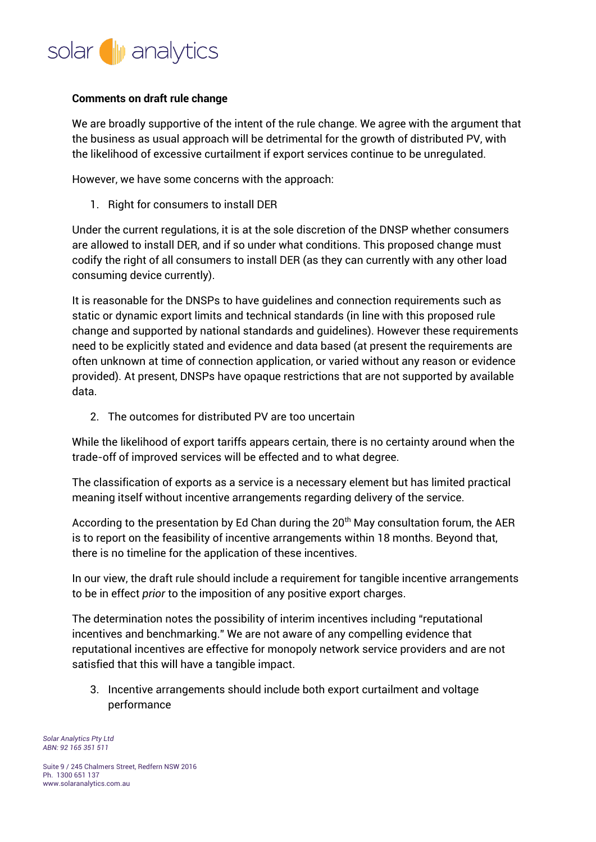

# **Comments on draft rule change**

We are broadly supportive of the intent of the rule change. We agree with the argument that the business as usual approach will be detrimental for the growth of distributed PV, with the likelihood of excessive curtailment if export services continue to be unregulated.

However, we have some concerns with the approach:

1. Right for consumers to install DER

Under the current regulations, it is at the sole discretion of the DNSP whether consumers are allowed to install DER, and if so under what conditions. This proposed change must codify the right of all consumers to install DER (as they can currently with any other load consuming device currently).

It is reasonable for the DNSPs to have guidelines and connection requirements such as static or dynamic export limits and technical standards (in line with this proposed rule change and supported by national standards and guidelines). However these requirements need to be explicitly stated and evidence and data based (at present the requirements are often unknown at time of connection application, or varied without any reason or evidence provided). At present, DNSPs have opaque restrictions that are not supported by available data.

2. The outcomes for distributed PV are too uncertain

While the likelihood of export tariffs appears certain, there is no certainty around when the trade-off of improved services will be effected and to what degree.

The classification of exports as a service is a necessary element but has limited practical meaning itself without incentive arrangements regarding delivery of the service.

According to the presentation by Ed Chan during the 20<sup>th</sup> May consultation forum, the AER is to report on the feasibility of incentive arrangements within 18 months. Beyond that, there is no timeline for the application of these incentives.

In our view, the draft rule should include a requirement for tangible incentive arrangements to be in effect *prior* to the imposition of any positive export charges.

The determination notes the possibility of interim incentives including "reputational incentives and benchmarking." We are not aware of any compelling evidence that reputational incentives are effective for monopoly network service providers and are not satisfied that this will have a tangible impact.

3. Incentive arrangements should include both export curtailment and voltage performance

*Solar Analytics Pty Ltd ABN: 92 165 351 511*